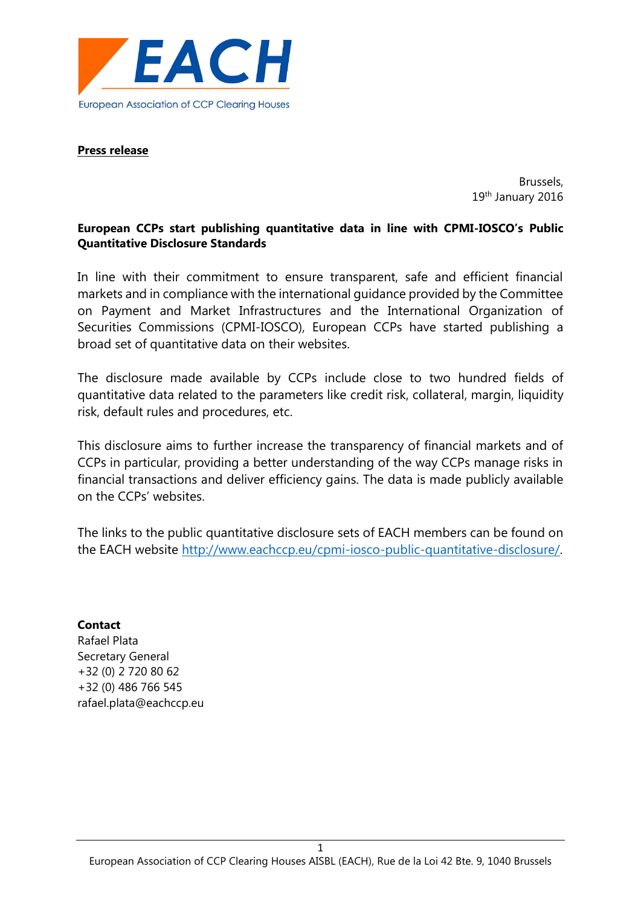

#### **Press release**

Brussels, 19th January 2016

# **European CCPs start publishing quantitative data in line with CPMI-IOSCO's Public Quantitative Disclosure Standards**

In line with their commitment to ensure transparent, safe and efficient financial markets and in compliance with the international guidance provided by the Committee on Payment and Market Infrastructures and the International Organization of Securities Commissions (CPMI-IOSCO), European CCPs have started publishing a broad set of quantitative data on their websites.

The disclosure made available by CCPs include close to two hundred fields of quantitative data related to the parameters like credit risk, collateral, margin, liquidity risk, default rules and procedures, etc.

This disclosure aims to further increase the transparency of financial markets and of CCPs in particular, providing a better understanding of the way CCPs manage risks in financial transactions and deliver efficiency gains. The data is made publicly available on the CCPs' websites.

The links to the public quantitative disclosure sets of EACH members can be found on the EACH website [http://www.eachccp.eu/cpmi-iosco-public-quantitative-disclosure/.](http://www.eachccp.eu/cpmi-iosco-public-quantitative-disclosure/)

## **Contact**

Rafael Plata Secretary General +32 (0) 2 720 80 62 +32 (0) 486 766 545 rafael.plata@eachccp.eu